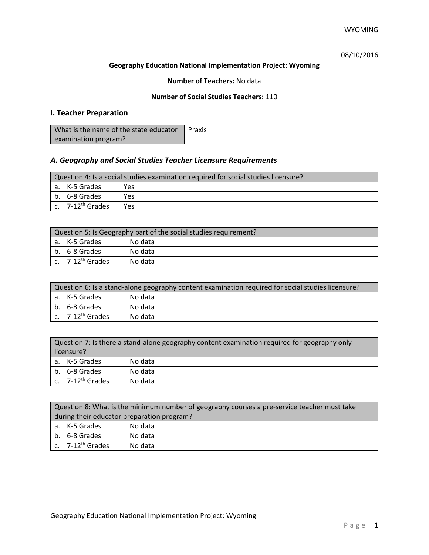## 08/10/2016

#### **Geography Education National Implementation Project: Wyoming**

## **Number of Teachers:** No data

## **Number of Social Studies Teachers:** 110

## **I. Teacher Preparation**

| What is the name of the state educator | Praxis |
|----------------------------------------|--------|
| examination program?                   |        |

## *A. Geography and Social Studies Teacher Licensure Requirements*

| Question 4: Is a social studies examination required for social studies licensure? |                              |     |
|------------------------------------------------------------------------------------|------------------------------|-----|
|                                                                                    | a. K-5 Grades                | Yes |
|                                                                                    | b. 6-8 Grades                | Yes |
|                                                                                    | c. 7-12 <sup>th</sup> Grades | Yes |

| Question 5: Is Geography part of the social studies requirement? |                              |         |
|------------------------------------------------------------------|------------------------------|---------|
|                                                                  | l a. K-5 Grades              | No data |
|                                                                  | b. 6-8 Grades                | No data |
|                                                                  | c. 7-12 <sup>th</sup> Grades | No data |

| Question 6: Is a stand-alone geography content examination required for social studies licensure? |                              |         |  |
|---------------------------------------------------------------------------------------------------|------------------------------|---------|--|
|                                                                                                   | a. K-5 Grades                | No data |  |
|                                                                                                   | b. 6-8 Grades                | No data |  |
|                                                                                                   | c. 7-12 <sup>th</sup> Grades | No data |  |

| Question 7: Is there a stand-alone geography content examination required for geography only<br>licensure? |                              |         |
|------------------------------------------------------------------------------------------------------------|------------------------------|---------|
|                                                                                                            |                              |         |
|                                                                                                            | a. K-5 Grades                | No data |
| b.                                                                                                         | 6-8 Grades                   | No data |
|                                                                                                            | c. 7-12 <sup>th</sup> Grades | No data |

| Question 8: What is the minimum number of geography courses a pre-service teacher must take |         |  |
|---------------------------------------------------------------------------------------------|---------|--|
| during their educator preparation program?                                                  |         |  |
| a. K-5 Grades                                                                               | No data |  |
| b. 6-8 Grades                                                                               | No data |  |
| c. $7-12^{th}$ Grades                                                                       | No data |  |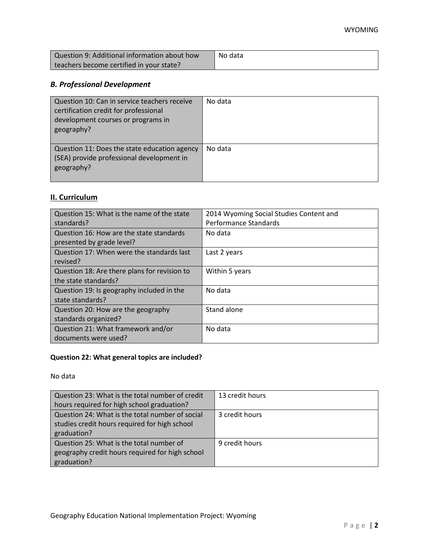| Question 9: Additional information about how | No data |
|----------------------------------------------|---------|
| teachers become certified in your state?     |         |

# *B. Professional Development*

| Question 10: Can in service teachers receive<br>certification credit for professional<br>development courses or programs in<br>geography? | No data |
|-------------------------------------------------------------------------------------------------------------------------------------------|---------|
| Question 11: Does the state education agency<br>(SEA) provide professional development in<br>geography?                                   | No data |

# **II. Curriculum**

| Question 15: What is the name of the state   | 2014 Wyoming Social Studies Content and |
|----------------------------------------------|-----------------------------------------|
| standards?                                   | Performance Standards                   |
| Question 16: How are the state standards     | No data                                 |
| presented by grade level?                    |                                         |
| Question 17: When were the standards last    | Last 2 years                            |
| revised?                                     |                                         |
| Question 18: Are there plans for revision to | Within 5 years                          |
| the state standards?                         |                                         |
| Question 19: Is geography included in the    | No data                                 |
| state standards?                             |                                         |
| Question 20: How are the geography           | Stand alone                             |
| standards organized?                         |                                         |
| Question 21: What framework and/or           | No data                                 |
| documents were used?                         |                                         |

# **Question 22: What general topics are included?**

No data

| Question 23: What is the total number of credit | 13 credit hours |
|-------------------------------------------------|-----------------|
| hours required for high school graduation?      |                 |
| Question 24: What is the total number of social | 3 credit hours  |
| studies credit hours required for high school   |                 |
| graduation?                                     |                 |
| Question 25: What is the total number of        | 9 credit hours  |
| geography credit hours required for high school |                 |
| graduation?                                     |                 |